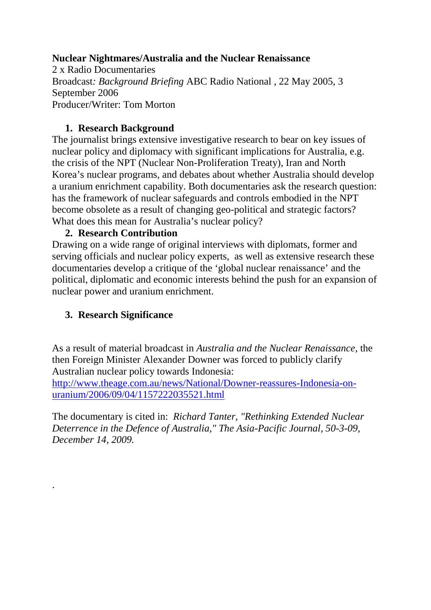## **Nuclear Nightmares/Australia and the Nuclear Renaissance**

2 x Radio Documentaries Broadcast*: Background Briefing* ABC Radio National , 22 May 2005, 3 September 2006 Producer/Writer: Tom Morton

## **1. Research Background**

The journalist brings extensive investigative research to bear on key issues of nuclear policy and diplomacy with significant implications for Australia, e.g. the crisis of the NPT (Nuclear Non-Proliferation Treaty), Iran and North Korea's nuclear programs, and debates about whether Australia should develop a uranium enrichment capability. Both documentaries ask the research question: has the framework of nuclear safeguards and controls embodied in the NPT become obsolete as a result of changing geo-political and strategic factors? What does this mean for Australia's nuclear policy?

## **2. Research Contribution**

Drawing on a wide range of original interviews with diplomats, former and serving officials and nuclear policy experts, as well as extensive research these documentaries develop a critique of the 'global nuclear renaissance' and the political, diplomatic and economic interests behind the push for an expansion of nuclear power and uranium enrichment.

# **3. Research Significance**

.

As a result of material broadcast in *Australia and the Nuclear Renaissance*, the then Foreign Minister Alexander Downer was forced to publicly clarify Australian nuclear policy towards Indonesia:

[http://www.theage.com.au/news/National/Downer-reassures-Indonesia-on](http://www.theage.com.au/news/National/Downer-reassures-Indonesia-on-uranium/2006/09/04/1157222035521.html)[uranium/2006/09/04/1157222035521.html](http://www.theage.com.au/news/National/Downer-reassures-Indonesia-on-uranium/2006/09/04/1157222035521.html)

The documentary is cited in: *Richard Tanter, "Rethinking Extended Nuclear Deterrence in the Defence of Australia," The Asia-Pacific Journal, 50-3-09, December 14, 2009.*